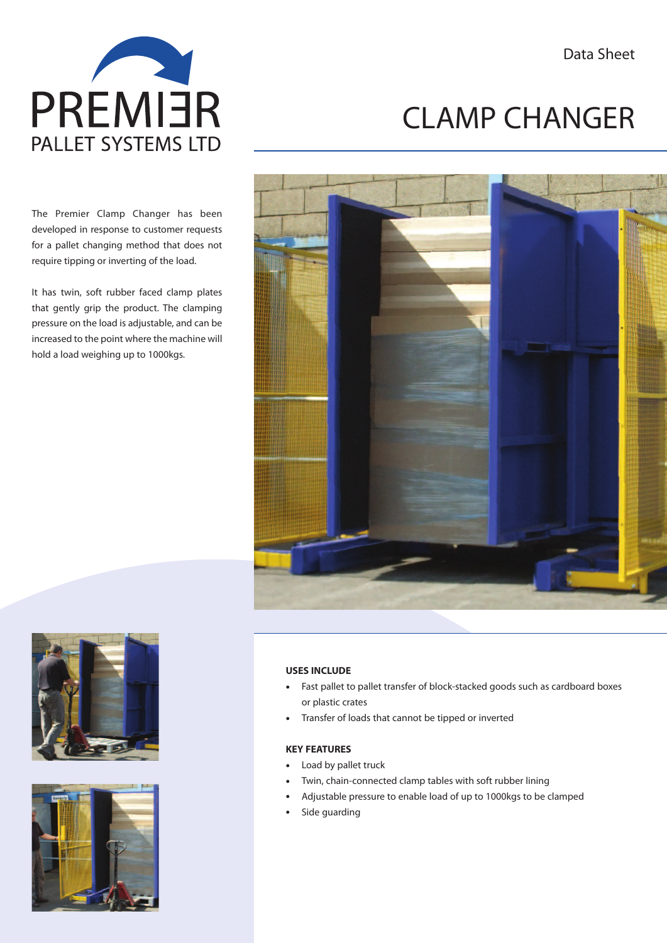Data Sheet



The Premier Clamp Changer has been developed in response to customer requests for a pallet changing method that does not require tipping or inverting of the load.

It has twin, soft rubber faced clamp plates that gently grip the product. The clamping pressure on the load is adjustable, and can be increased to the point where the machine will hold a load weighing up to 1000kgs.

# CLAMP CHANGER







## **USES INCLUDE**

- Fast pallet to pallet transfer of block-stacked goods such as cardboard boxes or plastic crates
- Transfer of loads that cannot be tipped or inverted

#### **KEY FEATURES**

- Load by pallet truck
- Twin, chain-connected clamp tables with soft rubber lining
- Adjustable pressure to enable load of up to 1000kgs to be clamped
- Side guarding